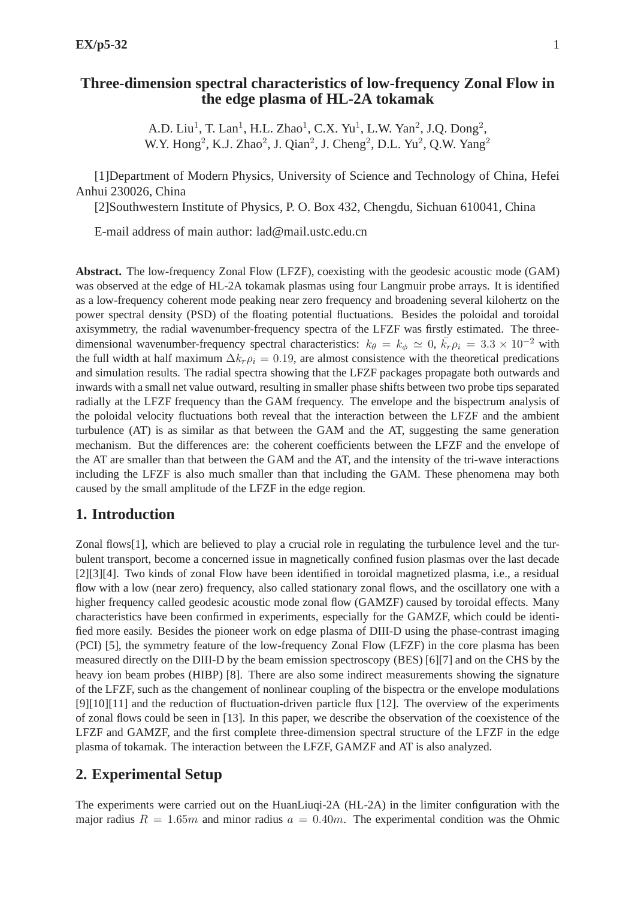# **Three-dimension spectral characteristics of low-frequency Zonal Flow in the edge plasma of HL-2A tokamak**

A.D. Liu<sup>1</sup>, T. Lan<sup>1</sup>, H.L. Zhao<sup>1</sup>, C.X. Yu<sup>1</sup>, L.W. Yan<sup>2</sup>, J.Q. Dong<sup>2</sup>, W.Y. Hong<sup>2</sup>, K.J. Zhao<sup>2</sup>, J. Qian<sup>2</sup>, J. Cheng<sup>2</sup>, D.L. Yu<sup>2</sup>, Q.W. Yang<sup>2</sup>

[1]Department of Modern Physics, University of Science and Technology of China, Hefei Anhui 230026, China

[2]Southwestern Institute of Physics, P. O. Box 432, Chengdu, Sichuan 610041, China

E-mail address of main author: lad@mail.ustc.edu.cn

**Abstract.** The low-frequency Zonal Flow (LFZF), coexisting with the geodesic acoustic mode (GAM) was observed at the edge of HL-2A tokamak plasmas using four Langmuir probe arrays. It is identified as a low-frequency coherent mode peaking near zero frequency and broadening several kilohertz on the power spectral density (PSD) of the floating potential fluctuations. Besides the poloidal and toroidal axisymmetry, the radial wavenumber-frequency spectra of the LFZF was firstly estimated. The threedimensional wavenumber-frequency spectral characteristics:  $k_{\theta} = k_{\phi} \simeq 0$ ,  $\vec{k}_{r} \rho_i = 3.3 \times 10^{-2}$  with the full width at half maximum  $\Delta k_r \rho_i = 0.19$ , are almost consistence with the theoretical predications and simulation results. The radial spectra showing that the LFZF packages propagate both outwards and inwards with a small net value outward, resulting in smaller phase shifts between two probe tips separated radially at the LFZF frequency than the GAM frequency. The envelope and the bispectrum analysis of the poloidal velocity fluctuations both reveal that the interaction between the LFZF and the ambient turbulence (AT) is as similar as that between the GAM and the AT, suggesting the same generation mechanism. But the differences are: the coherent coefficients between the LFZF and the envelope of the AT are smaller than that between the GAM and the AT, and the intensity of the tri-wave interactions including the LFZF is also much smaller than that including the GAM. These phenomena may both caused by the small amplitude of the LFZF in the edge region.

# **1. Introduction**

Zonal flows [1], which are believed to play a crucial role in regulating the turbulence level and the turbulent transport, become a concerned issue in magnetically confined fusion plasmas over the last decade [2][3][4]. Two kinds of zonal Flow have been identified in toroidal magnetized plasma, i.e., a residual flow with a low (near zero) frequency, also called stationary zonal flows, and the oscillatory one with a higher frequency called geodesic acoustic mode zonal flow (GAMZF) caused by toroidal effects. Many characteristics have been confirmed in experiments, especially for the GAMZF, which could be identified more easily. Besides the pioneer work on edge plasma of DIII-D using the phase-contrast imaging (PCI) [5], the symmetry feature of the low-frequency Zonal Flow (LFZF) in the core plasma has been measured directly on the DIII-D by the beam emission spectroscopy (BES) [6][7] and on the CHS by the heavy ion beam probes (HIBP) [8]. There are also some indirect measurements showing the signature of the LFZF, such as the changement of nonlinear coupling of the bispectra or the envelope modulations [9][10][11] and the reduction of fluctuation-driven particle flux [12]. The overview of the experiments of zonal flows could be seen in [13]. In this paper, we describe the observation of the coexistence of the LFZF and GAMZF, and the first complete three-dimension spectral structure of the LFZF in the edge plasma of tokamak. The interaction between the LFZF, GAMZF and AT is also analyzed.

# **2. Experimental Setup**

The experiments were carried out on the HuanLiuqi-2A (HL-2A) in the limiter configuration with the major radius  $R = 1.65m$  and minor radius  $a = 0.40m$ . The experimental condition was the Ohmic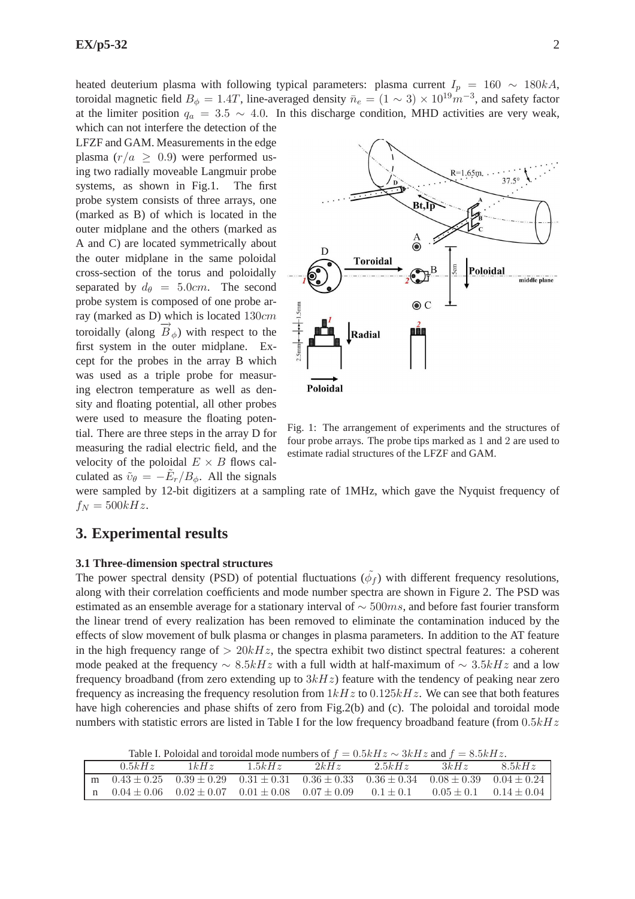heated deuterium plasma with following typical parameters: plasma current  $I_p = 160 \sim 180kA$ , toroidal magnetic field  $B_{\phi} = 1.4T$ , line-averaged density  $\bar{n}_e = (1 \sim 3) \times 10^{19} m^{-3}$ , and safety factor at the limiter position  $q_a = 3.5 \sim 4.0$ . In this discharge condition, MHD activities are very weak,

which can not interfere the detection of the LFZF and GAM. Measurements in the edge plasma  $(r/a \geq 0.9)$  were performed using two radially moveable Langmuir probe systems, as shown in Fig.1. The first probe system consists of three arrays, one (marked as B) of which is located in the outer midplane and the others (marked as A and C) are located symmetrically about the outer midplane in the same poloidal cross-section of the torus and poloidally separated by  $d_{\theta} = 5.0cm$ . The second probe system is composed of one probe array (marked as D) which is located 130cm toroidally (along  $\overrightarrow{B}_{\phi}$ ) with respect to the first system in the outer midplane. Except for the probes in the array B which was used as a triple probe for measuring electron temperature as well as density and floating potential, all other probes were used to measure the floating potential. There are three steps in the array D for measuring the radial electric field, and the velocity of the poloidal  $E \times B$  flows calculated as  $\tilde{v}_{\theta} = -\tilde{E}_r/B_{\phi}$ . All the signals



Fig. 1: The arrangement of experiments and the structures of four probe arrays. The probe tips marked as 1 and 2 are used to estimate radial structures of the LFZF and GAM.

were sampled by 12-bit digitizers at a sampling rate of 1MHz, which gave the Nyquist frequency of  $f_N = 500kHz.$ 

# **3. Experimental results**

### **3.1 Three-dimension spectral structures**

The power spectral density (PSD) of potential fluctuations  $(\tilde{\phi}_f)$  with different frequency resolutions, along with their correlation coefficients and mode number spectra are shown in Figure 2. The PSD was estimated as an ensemble average for a stationary interval of  $\sim$  500ms, and before fast fourier transform the linear trend of every realization has been removed to eliminate the contamination induced by the effects of slow movement of bulk plasma or changes in plasma parameters. In addition to the AT feature in the high frequency range of  $> 20kHz$ , the spectra exhibit two distinct spectral features: a coherent mode peaked at the frequency  $\sim$  8.5kHz with a full width at half-maximum of  $\sim$  3.5kHz and a low frequency broadband (from zero extending up to  $3kHz$ ) feature with the tendency of peaking near zero frequency as increasing the frequency resolution from  $1kHz$  to  $0.125kHz$ . We can see that both features have high coherencies and phase shifts of zero from Fig.2(b) and (c). The poloidal and toroidal mode numbers with statistic errors are listed in Table I for the low frequency broadband feature (from  $0.5kHz$ 

Table I. Poloidal and toroidal mode numbers of  $f = 0.5kHz \approx 3kHz$  and  $f = 8.5kHz$ .

| 0.5kHz                                                                                                            | 1kHz                                            | 1.5kHz | 2kHz | 2.5kHz        | 3kHz           | 8.5kHz          |
|-------------------------------------------------------------------------------------------------------------------|-------------------------------------------------|--------|------|---------------|----------------|-----------------|
| m $0.43 \pm 0.25$ $0.39 \pm 0.29$ $0.31 \pm 0.31$ $0.36 \pm 0.33$ $0.36 \pm 0.34$ $0.08 \pm 0.39$ $0.04 \pm 0.24$ |                                                 |        |      |               |                |                 |
| $n = 0.04 \pm 0.06$                                                                                               | $0.02 \pm 0.07$ $0.01 \pm 0.08$ $0.07 \pm 0.09$ |        |      | $0.1 \pm 0.1$ | $0.05 \pm 0.1$ | $0.14 \pm 0.04$ |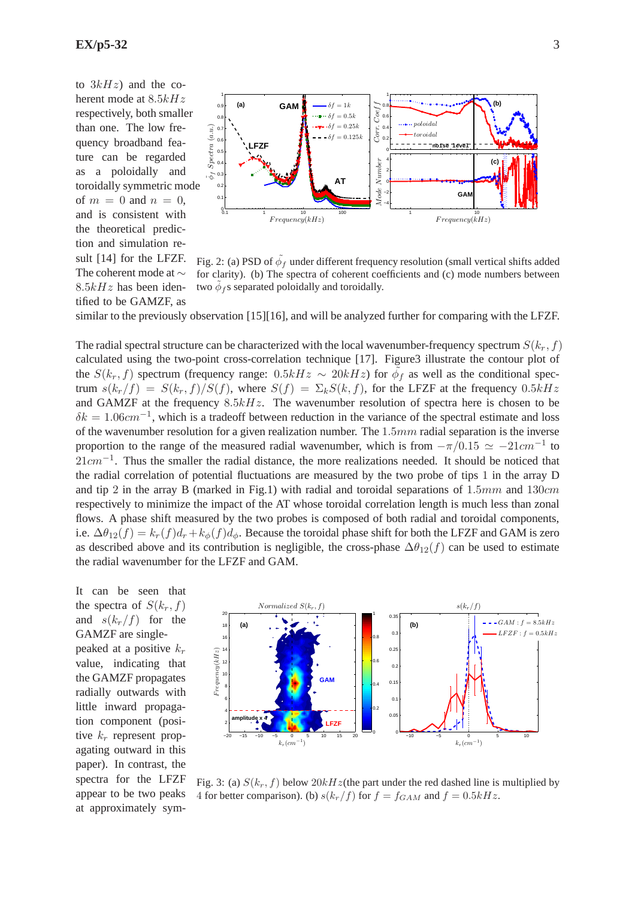to  $3kHz$  and the coherent mode at  $8.5kHz$ respectively, both smaller than one. The low frequency broadband feature can be regarded as a poloidally and toroidally symmetric mode of  $m = 0$  and  $n = 0$ , and is consistent with the theoretical prediction and simulation result [14] for the LFZF. The coherent mode at ∼  $8.5kHz$  has been identified to be GAMZF, as



Fig. 2: (a) PSD of  $\tilde{\phi}_f$  under different frequency resolution (small vertical shifts added for clarity). (b) The spectra of coherent coefficients and (c) mode numbers between two  $\tilde{\phi}_f$ s separated poloidally and toroidally.

similar to the previously observation [15][16], and will be analyzed further for comparing with the LFZF.

The radial spectral structure can be characterized with the local wavenumber-frequency spectrum  $S(k_r, f)$ calculated using the two-point cross-correlation technique [17]. Figure3 illustrate the contour plot of the  $S(k_r, f)$  spectrum (frequency range: 0.5kH $z \sim 20kHz$ ) for  $\tilde{\phi}_f$  as well as the conditional spectrum  $s(k_r/f) = S(k_r, f)/S(f)$ , where  $S(f) = \sum_k S(k, f)$ , for the LFZF at the frequency 0.5kHz and GAMZF at the frequency  $8.5kHz$ . The wavenumber resolution of spectra here is chosen to be  $\delta k = 1.06$ cm<sup>-1</sup>, which is a tradeoff between reduction in the variance of the spectral estimate and loss of the wavenumber resolution for a given realization number. The  $1.5mm$  radial separation is the inverse proportion to the range of the measured radial wavenumber, which is from  $-\pi/0.15 \simeq -21$ cm<sup>-1</sup> to  $21cm^{-1}$ . Thus the smaller the radial distance, the more realizations needed. It should be noticed that the radial correlation of potential fluctuations are measured by the two probe of tips 1 in the array D and tip 2 in the array B (marked in Fig.1) with radial and toroidal separations of  $1.5mm$  and  $130cm$ respectively to minimize the impact of the AT whose toroidal correlation length is much less than zonal flows. A phase shift measured by the two probes is composed of both radial and toroidal components, i.e.  $\Delta\theta_{12}(f) = k_r(f)d_r + k_\phi(f)d_\phi$ . Because the toroidal phase shift for both the LFZF and GAM is zero as described above and its contribution is negligible, the cross-phase  $\Delta\theta_{12}(f)$  can be used to estimate the radial wavenumber for the LFZF and GAM.

It can be seen that the spectra of  $S(k_r, f)$ and  $s(k_r/f)$  for the GAMZF are singlepeaked at a positive  $k_r$ value, indicating that the GAMZF propagates radially outwards with little inward propagation component (positive  $k_r$  represent propagating outward in this paper). In contrast, the spectra for the LFZF appear to be two peaks at approximately sym-



Fig. 3: (a)  $S(k_r, f)$  below  $20kHz$  (the part under the red dashed line is multiplied by 4 for better comparison). (b)  $s(k_r/f)$  for  $f = f_{GAM}$  and  $f = 0.5kHz$ .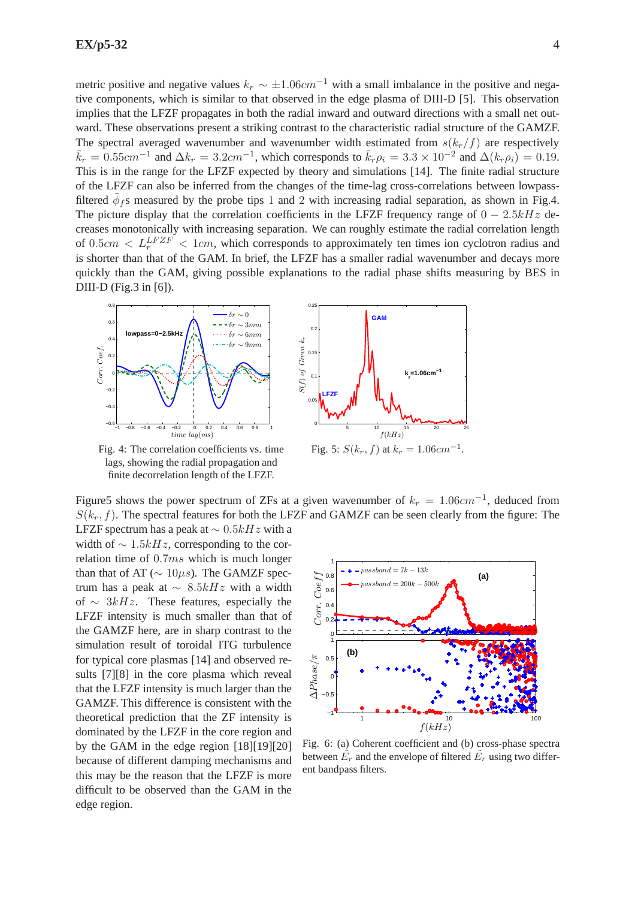metric positive and negative values  $k_r \sim \pm 1.06$ cm<sup>-1</sup> with a small imbalance in the positive and negative components, which is similar to that observed in the edge plasma of DIII-D [5]. This observation implies that the LFZF propagates in both the radial inward and outward directions with a small net outward. These observations present a striking contrast to the characteristic radial structure of the GAMZF. The spectral averaged wavenumber and wavenumber width estimated from  $s(k_r/f)$  are respectively  $\bar{k}_r = 0.55$ cm<sup>-1</sup> and  $\Delta k_r = 3.2$ cm<sup>-1</sup>, which corresponds to  $\bar{k}_r \rho_i = 3.3 \times 10^{-2}$  and  $\Delta (k_r \rho_i) = 0.19$ . This is in the range for the LFZF expected by theory and simulations [14]. The finite radial structure of the LFZF can also be inferred from the changes of the time-lag cross-correlations between lowpassfiltered  $\tilde{\phi}_f$ s measured by the probe tips 1 and 2 with increasing radial separation, as shown in Fig.4. The picture display that the correlation coefficients in the LFZF frequency range of  $0 - 2.5kHz$  decreases monotonically with increasing separation. We can roughly estimate the radial correlation length of  $0.5cm < L_r^{LFZF} < 1cm$ , which corresponds to approximately ten times ion cyclotron radius and is shorter than that of the GAM. In brief, the LFZF has a smaller radial wavenumber and decays more quickly than the GAM, giving possible explanations to the radial phase shifts measuring by BES in DIII-D (Fig.3 in [6]).



Fig. 4: The correlation coefficients vs. time lags, showing the radial propagation and finite decorrelation length of the LFZF.



Figure5 shows the power spectrum of ZFs at a given wavenumber of  $k_r = 1.06$ c $m^{-1}$ , deduced from  $S(k_r, f)$ . The spectral features for both the LFZF and GAMZF can be seen clearly from the figure: The

LFZF spectrum has a peak at  $\sim 0.5kHz$  with a width of  $\sim 1.5kHz$ , corresponding to the correlation time of 0.7ms which is much longer than that of AT ( $\sim 10 \mu s$ ). The GAMZF spectrum has a peak at  $\sim 8.5kHz$  with a width of  $\sim$  3kHz. These features, especially the LFZF intensity is much smaller than that of the GAMZF here, are in sharp contrast to the simulation result of toroidal ITG turbulence for typical core plasmas [14] and observed results [7][8] in the core plasma which reveal that the LFZF intensity is much larger than the GAMZF. This difference is consistent with the theoretical prediction that the ZF intensity is dominated by the LFZF in the core region and by the GAM in the edge region [18][19][20] because of different damping mechanisms and this may be the reason that the LFZF is more difficult to be observed than the GAM in the edge region.



Fig. 6: (a) Coherent coefficient and (b) cross-phase spectra between  $\tilde{E_r}$  and the envelope of filtered  $\tilde{E_r}$  using two different bandpass filters.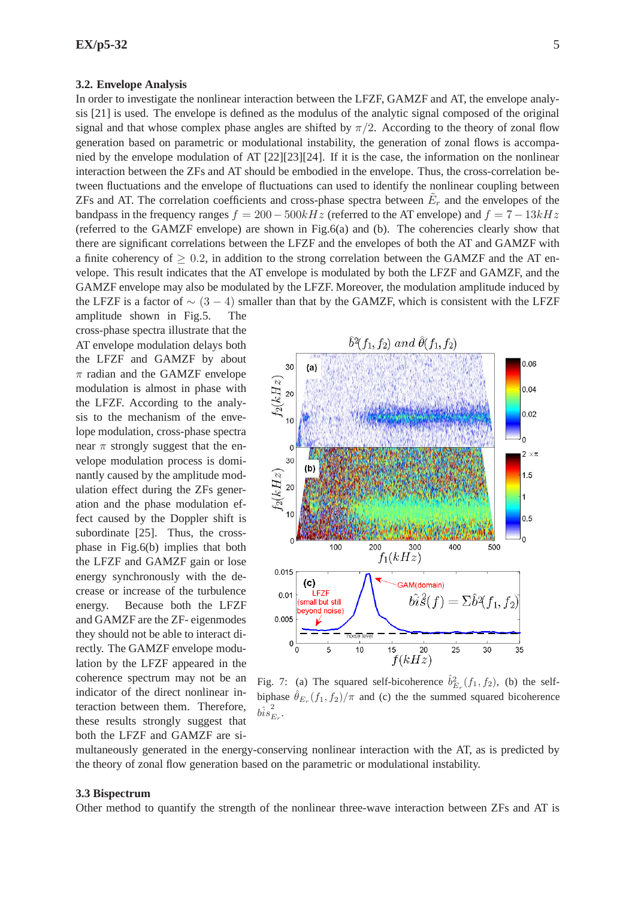#### **3.2. Envelope Analysis**

In order to investigate the nonlinear interaction between the LFZF, GAMZF and AT, the envelope analysis [21] is used. The envelope is defined as the modulus of the analytic signal composed of the original signal and that whose complex phase angles are shifted by  $\pi/2$ . According to the theory of zonal flow generation based on parametric or modulational instability, the generation of zonal flows is accompanied by the envelope modulation of AT [22][23][24]. If it is the case, the information on the nonlinear interaction between the ZFs and AT should be embodied in the envelope. Thus, the cross-correlation between fluctuations and the envelope of fluctuations can used to identify the nonlinear coupling between ZFs and AT. The correlation coefficients and cross-phase spectra between  $\tilde{E}_r$  and the envelopes of the bandpass in the frequency ranges  $f = 200 - 500kHz$  (referred to the AT envelope) and  $f = 7 - 13kHz$ (referred to the GAMZF envelope) are shown in Fig.6(a) and (b). The coherencies clearly show that there are significant correlations between the LFZF and the envelopes of both the AT and GAMZF with a finite coherency of  $\geq 0.2$ , in addition to the strong correlation between the GAMZF and the AT envelope. This result indicates that the AT envelope is modulated by both the LFZF and GAMZF, and the GAMZF envelope may also be modulated by the LFZF. Moreover, the modulation amplitude induced by the LFZF is a factor of  $\sim$  (3 − 4) smaller than that by the GAMZF, which is consistent with the LFZF

amplitude shown in Fig.5. The cross-phase spectra illustrate that the AT envelope modulation delays both the LFZF and GAMZF by about  $\pi$  radian and the GAMZF envelope modulation is almost in phase with the LFZF. According to the analysis to the mechanism of the envelope modulation, cross-phase spectra near  $\pi$  strongly suggest that the envelope modulation process is dominantly caused by the amplitude modulation effect during the ZFs generation and the phase modulation effect caused by the Doppler shift is subordinate [25]. Thus, the crossphase in Fig.6(b) implies that both the LFZF and GAMZF gain or lose energy synchronously with the decrease or increase of the turbulence energy. Because both the LFZF and GAMZF are the ZF- eigenmodes they should not be able to interact directly. The GAMZF envelope modulation by the LFZF appeared in the coherence spectrum may not be an indicator of the direct nonlinear interaction between them. Therefore, these results strongly suggest that both the LFZF and GAMZF are si-



Fig. 7: (a) The squared self-bicoherence  $\hat{b}_{E_r}^2(f_1, f_2)$ , (b) the selfbiphase  $\hat{\theta}_{E_r}(f_1, f_2)/\pi$  and (c) the the summed squared bicoherence  $\hat{\hat{bis}_B^2}$  $\tilde{\vphantom{\phi}}_{E_{r}}.$ 

multaneously generated in the energy-conserving nonlinear interaction with the AT, as is predicted by the theory of zonal flow generation based on the parametric or modulational instability.

### **3.3 Bispectrum**

Other method to quantify the strength of the nonlinear three-wave interaction between ZFs and AT is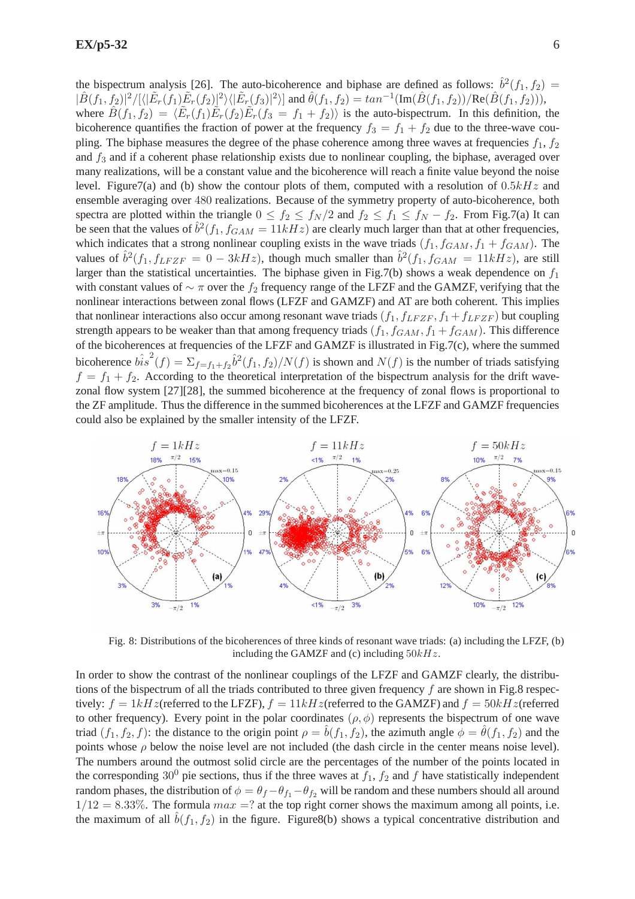the bispectrum analysis [26]. The auto-bicoherence and biphase are defined as follows:  $\hat{b}^2(f_1, f_2)$  =  $|\hat{B}(f_1, f_2)|^2/[\langle|\tilde{E}_r(f_1)\tilde{E}_r(f_2)|^2\rangle|\tilde{E}_r(f_3)|^2\rangle]$  and  $\hat{\theta}(f_1, f_2) = \tan^{-1}(\text{Im}(\hat{B}(f_1, f_2))/\text{Re}(\hat{B}(f_1, f_2))),$ where  $\hat{B}(f_1, f_2) = \langle \tilde{E}_r(f_1) \tilde{E}_r(f_2) \tilde{E}_r(f_3 = f_1 + f_2) \rangle$  is the auto-bispectrum. In this definition, the bicoherence quantifies the fraction of power at the frequency  $f_3 = f_1 + f_2$  due to the three-wave coupling. The biphase measures the degree of the phase coherence among three waves at frequencies  $f_1$ ,  $f_2$ and  $f_3$  and if a coherent phase relationship exists due to nonlinear coupling, the biphase, averaged over many realizations, will be a constant value and the bicoherence will reach a finite value beyond the noise level. Figure7(a) and (b) show the contour plots of them, computed with a resolution of  $0.5kHz$  and ensemble averaging over 480 realizations. Because of the symmetry property of auto-bicoherence, both spectra are plotted within the triangle  $0 \le f_2 \le f_N/2$  and  $f_2 \le f_1 \le f_N - f_2$ . From Fig.7(a) It can be seen that the values of  $\hat{b}^2(f_1, f_{GAM} = 11kHz)$  are clearly much larger than that at other frequencies, which indicates that a strong nonlinear coupling exists in the wave triads  $(f_1, f_{GAM}, f_1 + f_{GAM})$ . The values of  $\hat{b}^2(f_1, f_{LFZF} = 0 - 3kHz)$ , though much smaller than  $\hat{b}^2(f_1, f_{GAM} = 11kHz)$ , are still larger than the statistical uncertainties. The biphase given in Fig.7(b) shows a weak dependence on  $f_1$ with constant values of  $\sim \pi$  over the  $f_2$  frequency range of the LFZF and the GAMZF, verifying that the nonlinear interactions between zonal flows (LFZF and GAMZF) and AT are both coherent. This implies that nonlinear interactions also occur among resonant wave triads  $(f_1, f_{LFZF}, f_1 + f_{LFZF})$  but coupling strength appears to be weaker than that among frequency triads  $(f_1, f_{GAM}, f_1 + f_{GAM})$ . This difference of the bicoherences at frequencies of the LFZF and GAMZF is illustrated in Fig.7(c), where the summed bicoherence  $b\hat{i} s^2(f) = \sum_{f=f_1+f_2} \hat{b}^2(f_1,f_2)/N(f)$  is shown and  $N(f)$  is the number of triads satisfying  $f = f_1 + f_2$ . According to the theoretical interpretation of the bispectrum analysis for the drift wavezonal flow system [27][28], the summed bicoherence at the frequency of zonal flows is proportional to the ZF amplitude. Thus the difference in the summed bicoherences at the LFZF and GAMZF frequencies could also be explained by the smaller intensity of the LFZF.



Fig. 8: Distributions of the bicoherences of three kinds of resonant wave triads: (a) including the LFZF, (b) including the GAMZF and (c) including  $50kHz$ .

In order to show the contrast of the nonlinear couplings of the LFZF and GAMZF clearly, the distributions of the bispectrum of all the triads contributed to three given frequency  $f$  are shown in Fig.8 respectively:  $f = 1kHz$  (referred to the LFZF),  $f = 11kHz$  (referred to the GAMZF) and  $f = 50kHz$  (referred to other frequency). Every point in the polar coordinates  $(\rho, \phi)$  represents the bispectrum of one wave triad  $(f_1, f_2, f)$ : the distance to the origin point  $\rho = \hat{b}(f_1, f_2)$ , the azimuth angle  $\phi = \hat{\theta}(f_1, f_2)$  and the points whose  $\rho$  below the noise level are not included (the dash circle in the center means noise level). The numbers around the outmost solid circle are the percentages of the number of the points located in the corresponding 30<sup>0</sup> pie sections, thus if the three waves at  $f_1$ ,  $f_2$  and f have statistically independent random phases, the distribution of  $\phi = \theta_f - \theta_{f_1} - \theta_{f_2}$  will be random and these numbers should all around  $1/12 = 8.33\%$ . The formula  $max = ?$  at the top right corner shows the maximum among all points, i.e. the maximum of all  $\hat{b}(f_1, f_2)$  in the figure. Figure8(b) shows a typical concentrative distribution and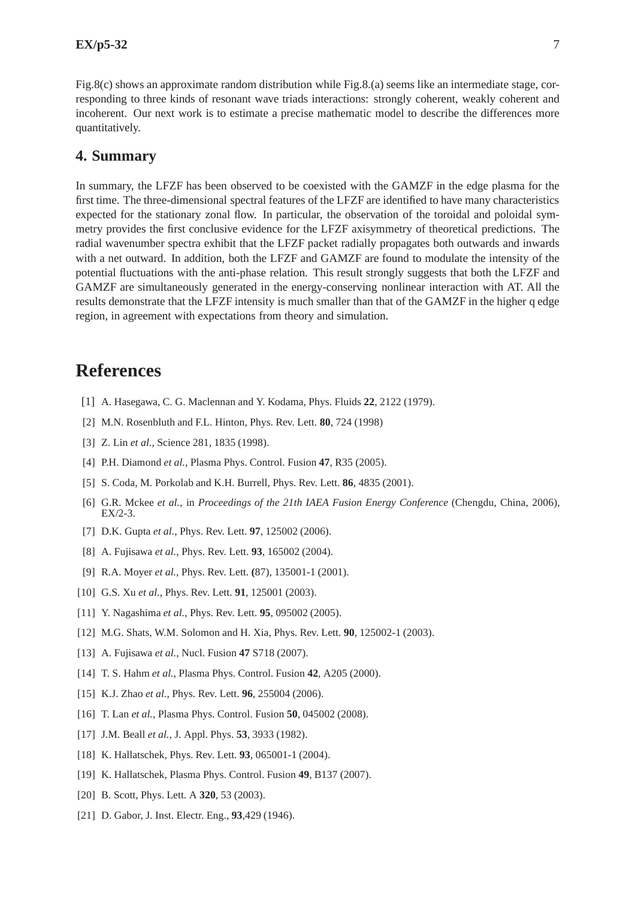Fig.8(c) shows an approximate random distribution while Fig.8.(a) seems like an intermediate stage, corresponding to three kinds of resonant wave triads interactions: strongly coherent, weakly coherent and incoherent. Our next work is to estimate a precise mathematic model to describe the differences more quantitatively.

### **4. Summary**

In summary, the LFZF has been observed to be coexisted with the GAMZF in the edge plasma for the first time. The three-dimensional spectral features of the LFZF are identified to have many characteristics expected for the stationary zonal flow. In particular, the observation of the toroidal and poloidal symmetry provides the first conclusive evidence for the LFZF axisymmetry of theoretical predictions. The radial wavenumber spectra exhibit that the LFZF packet radially propagates both outwards and inwards with a net outward. In addition, both the LFZF and GAMZF are found to modulate the intensity of the potential fluctuations with the anti-phase relation. This result strongly suggests that both the LFZF and GAMZF are simultaneously generated in the energy-conserving nonlinear interaction with AT. All the results demonstrate that the LFZF intensity is much smaller than that of the GAMZF in the higher q edge region, in agreement with expectations from theory and simulation.

# **References**

- [1] A. Hasegawa, C. G. Maclennan and Y. Kodama, Phys. Fluids **22**, 2122 (1979).
- [2] M.N. Rosenbluth and F.L. Hinton, Phys. Rev. Lett. **80**, 724 (1998)
- [3] Z. Lin *et al.*, Science 281, 1835 (1998).
- [4] P.H. Diamond *et al.*, Plasma Phys. Control. Fusion **47**, R35 (2005).
- [5] S. Coda, M. Porkolab and K.H. Burrell, Phys. Rev. Lett. **86**, 4835 (2001).
- [6] G.R. Mckee *et al.*, in *Proceedings of the 21th IAEA Fusion Energy Conference* (Chengdu, China, 2006), EX/2-3.
- [7] D.K. Gupta *et al.*, Phys. Rev. Lett. **97**, 125002 (2006).
- [8] A. Fujisawa *et al.*, Phys. Rev. Lett. **93**, 165002 (2004).
- [9] R.A. Moyer *et al.*, Phys. Rev. Lett. **(**87), 135001-1 (2001).
- [10] G.S. Xu *et al.*, Phys. Rev. Lett. **91**, 125001 (2003).
- [11] Y. Nagashima *et al.*, Phys. Rev. Lett. **95**, 095002 (2005).
- [12] M.G. Shats, W.M. Solomon and H. Xia, Phys. Rev. Lett. **90**, 125002-1 (2003).
- [13] A. Fujisawa *et al.*, Nucl. Fusion **47** S718 (2007).
- [14] T. S. Hahm *et al.*, Plasma Phys. Control. Fusion **42**, A205 (2000).
- [15] K.J. Zhao *et al.*, Phys. Rev. Lett. **96**, 255004 (2006).
- [16] T. Lan *et al.*, Plasma Phys. Control. Fusion **50**, 045002 (2008).
- [17] J.M. Beall *et al.*, J. Appl. Phys. **53**, 3933 (1982).
- [18] K. Hallatschek, Phys. Rev. Lett. **93**, 065001-1 (2004).
- [19] K. Hallatschek, Plasma Phys. Control. Fusion **49**, B137 (2007).
- [20] B. Scott, Phys. Lett. A **320**, 53 (2003).
- [21] D. Gabor, J. Inst. Electr. Eng., **93**,429 (1946).